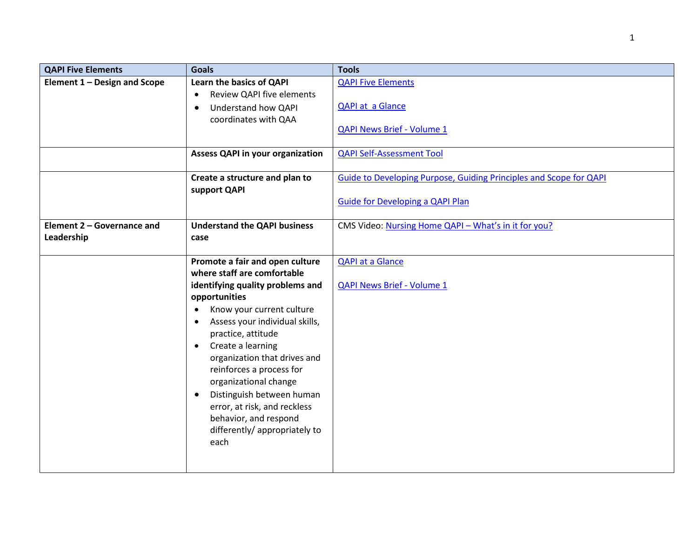| <b>QAPI Five Elements</b>                | <b>Goals</b>                                                              | <b>Tools</b>                                                              |
|------------------------------------------|---------------------------------------------------------------------------|---------------------------------------------------------------------------|
| Element 1 - Design and Scope             | Learn the basics of QAPI<br><b>Review QAPI five elements</b><br>$\bullet$ | <b>QAPI Five Elements</b>                                                 |
|                                          | Understand how QAPI<br>$\bullet$<br>coordinates with QAA                  | <b>QAPI at a Glance</b>                                                   |
|                                          |                                                                           | <b>QAPI News Brief - Volume 1</b>                                         |
|                                          | <b>Assess QAPI in your organization</b>                                   | <b>QAPI Self-Assessment Tool</b>                                          |
|                                          | Create a structure and plan to<br>support QAPI                            | <b>Guide to Developing Purpose, Guiding Principles and Scope for QAPI</b> |
|                                          |                                                                           | <b>Guide for Developing a QAPI Plan</b>                                   |
| Element 2 - Governance and<br>Leadership | <b>Understand the QAPI business</b><br>case                               | CMS Video: Nursing Home QAPI - What's in it for you?                      |
|                                          |                                                                           |                                                                           |
|                                          | Promote a fair and open culture                                           | <b>QAPI at a Glance</b>                                                   |
|                                          | where staff are comfortable                                               |                                                                           |
|                                          | identifying quality problems and                                          | <b>QAPI News Brief - Volume 1</b>                                         |
|                                          | opportunities<br>Know your current culture                                |                                                                           |
|                                          | Assess your individual skills,<br>$\bullet$                               |                                                                           |
|                                          | practice, attitude                                                        |                                                                           |
|                                          | Create a learning<br>$\bullet$                                            |                                                                           |
|                                          | organization that drives and                                              |                                                                           |
|                                          | reinforces a process for                                                  |                                                                           |
|                                          | organizational change                                                     |                                                                           |
|                                          | Distinguish between human<br>$\bullet$                                    |                                                                           |
|                                          | error, at risk, and reckless                                              |                                                                           |
|                                          | behavior, and respond                                                     |                                                                           |
|                                          | differently/ appropriately to<br>each                                     |                                                                           |
|                                          |                                                                           |                                                                           |
|                                          |                                                                           |                                                                           |

1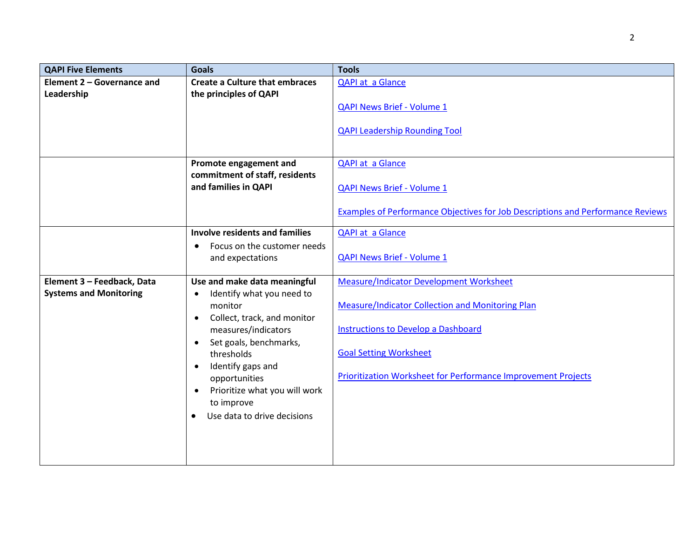| <b>QAPI Five Elements</b>     | <b>Goals</b>                                    | <b>Tools</b>                                                                    |
|-------------------------------|-------------------------------------------------|---------------------------------------------------------------------------------|
| Element 2 - Governance and    | <b>Create a Culture that embraces</b>           | <b>QAPI at a Glance</b>                                                         |
| Leadership                    | the principles of QAPI                          |                                                                                 |
|                               |                                                 | <b>QAPI News Brief - Volume 1</b>                                               |
|                               |                                                 | <b>QAPI Leadership Rounding Tool</b>                                            |
|                               |                                                 |                                                                                 |
|                               | Promote engagement and                          | <b>QAPI at a Glance</b>                                                         |
|                               | commitment of staff, residents                  |                                                                                 |
|                               | and families in QAPI                            | <b>QAPI News Brief - Volume 1</b>                                               |
|                               |                                                 |                                                                                 |
|                               |                                                 | Examples of Performance Objectives for Job Descriptions and Performance Reviews |
|                               | <b>Involve residents and families</b>           | <b>QAPI at a Glance</b>                                                         |
|                               | Focus on the customer needs<br>$\bullet$        |                                                                                 |
|                               | and expectations                                | <b>QAPI News Brief - Volume 1</b>                                               |
|                               |                                                 |                                                                                 |
| Element 3 - Feedback, Data    | Use and make data meaningful                    | <b>Measure/Indicator Development Worksheet</b>                                  |
| <b>Systems and Monitoring</b> | Identify what you need to<br>$\bullet$          |                                                                                 |
|                               | monitor                                         | Measure/Indicator Collection and Monitoring Plan                                |
|                               | Collect, track, and monitor<br>$\bullet$        |                                                                                 |
|                               | measures/indicators                             | <b>Instructions to Develop a Dashboard</b>                                      |
|                               | Set goals, benchmarks,<br>$\bullet$             | <b>Goal Setting Worksheet</b>                                                   |
|                               | thresholds                                      |                                                                                 |
|                               | Identify gaps and<br>$\bullet$<br>opportunities | Prioritization Worksheet for Performance Improvement Projects                   |
|                               | Prioritize what you will work<br>$\bullet$      |                                                                                 |
|                               | to improve                                      |                                                                                 |
|                               | Use data to drive decisions                     |                                                                                 |
|                               |                                                 |                                                                                 |
|                               |                                                 |                                                                                 |
|                               |                                                 |                                                                                 |
|                               |                                                 |                                                                                 |